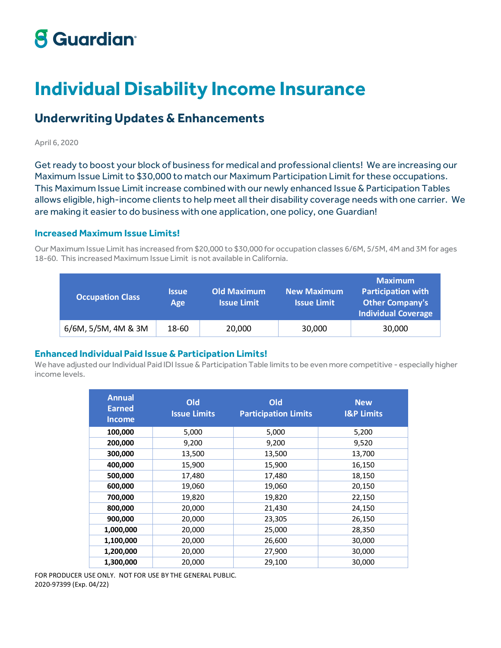# **8 Guardian**

# **Individual Disability Income Insurance**

# **Underwriting Updates & Enhancements**

#### April 6, 2020

Get ready to boost your block of business for medical and professional clients! We are increasing our Maximum Issue Limit to \$30,000 to match our Maximum Participation Limit for these occupations. This Maximum Issue Limit increase combined with our newly enhanced Issue & Participation Tables allows eligible, high-income clients to help meet all their disability coverage needs with one carrier. We are making it easier to do business with one application, one policy, one Guardian!

### **Increased Maximum Issue Limits!**

Our Maximum Issue Limit has increased from \$20,000 to \$30,000 for occupation classes 6/6M, 5/5M, 4M and 3M for ages 18-60. This increased Maximum Issue Limit is not available in California.

| <b>Occupation Class</b> | <b>Issue</b><br>Age | <b>Old Maximum</b><br><b>Issue Limit</b> | <b>New Maximum</b><br><b>Issue Limit</b> | <b>Maximum</b><br><b>Participation with</b><br><b>Other Company's</b><br><b>Individual Coverage</b> |
|-------------------------|---------------------|------------------------------------------|------------------------------------------|-----------------------------------------------------------------------------------------------------|
| 6/6M, 5/5M, 4M & 3M     | 18-60               | 20,000                                   | 30,000                                   | 30,000                                                                                              |

### **Enhanced Individual Paid Issue & Participation Limits!**

We have adjusted our Individual Paid IDI Issue & Participation Table limits to be even more competitive - especially higher income levels.

| <b>Annual</b><br><b>Earned</b><br><b>Income</b> | <b>Old</b><br><b>Issue Limits</b> | Old<br><b>Participation Limits</b> | <b>New</b><br><b>I&amp;P Limits</b> |
|-------------------------------------------------|-----------------------------------|------------------------------------|-------------------------------------|
| 100,000                                         | 5,000                             | 5,000                              | 5,200                               |
| 200,000                                         | 9,200                             | 9,200                              | 9,520                               |
| 300,000                                         | 13,500                            | 13,500                             | 13,700                              |
| 400,000                                         | 15,900                            | 15,900                             | 16,150                              |
| 500,000                                         | 17,480                            | 17,480                             | 18,150                              |
| 600,000                                         | 19,060                            | 19,060                             | 20,150                              |
| 700,000                                         | 19,820                            | 19,820                             | 22,150                              |
| 800,000                                         | 20,000                            | 21,430                             | 24,150                              |
| 900,000                                         | 20,000                            | 23,305                             | 26,150                              |
| 1,000,000                                       | 20,000                            | 25,000                             | 28,350                              |
| 1,100,000                                       | 20,000                            | 26,600                             | 30,000                              |
| 1,200,000                                       | 20,000                            | 27,900                             | 30,000                              |
| 1,300,000                                       | 20,000                            | 29,100                             | 30,000                              |

FOR PRODUCER USE ONLY. NOT FOR USE BY THE GENERAL PUBLIC. 2020-97399 (Exp. 04/22)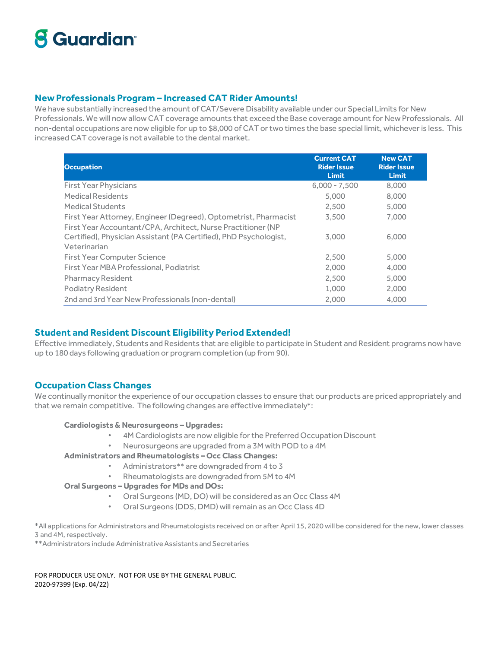# **8 Guardian**

### **New Professionals Program – Increased CAT Rider Amounts!**

We have substantially increased the amount of CAT/Severe Disability available under our Special Limits for New Professionals. We will now allow CAT coverage amounts that exceed the Base coverage amount for New Professionals. All non-dental occupations are now eligible for up to \$8,000 of CAT or two times the base special limit, whichever is less. This increased CAT coverage is not available to the dental market.

| <b>Occupation</b>                                                 | <b>Current CAT</b><br><b>Rider Issue</b><br><b>Limit</b> | <b>New CAT</b><br><b>Rider Issue</b><br><b>Limit</b> |
|-------------------------------------------------------------------|----------------------------------------------------------|------------------------------------------------------|
| <b>First Year Physicians</b>                                      | $6.000 - 7.500$                                          | 8,000                                                |
| <b>Medical Residents</b>                                          | 5.000                                                    | 8,000                                                |
| <b>Medical Students</b>                                           | 2.500                                                    | 5,000                                                |
| First Year Attorney, Engineer (Degreed), Optometrist, Pharmacist  | 3,500                                                    | 7.000                                                |
| First Year Accountant/CPA, Architect, Nurse Practitioner (NP      |                                                          |                                                      |
| Certified), Physician Assistant (PA Certified), PhD Psychologist, | 3.000                                                    | 6.000                                                |
| Veterinarian                                                      |                                                          |                                                      |
| <b>First Year Computer Science</b>                                | 2.500                                                    | 5,000                                                |
| First Year MBA Professional, Podiatrist                           | 2.000                                                    | 4,000                                                |
| <b>Pharmacy Resident</b>                                          | 2.500                                                    | 5,000                                                |
| <b>Podiatry Resident</b>                                          | 1.000                                                    | 2.000                                                |
| 2nd and 3rd Year New Professionals (non-dental)                   | 2.000                                                    | 4.000                                                |

# **Student and Resident Discount Eligibility Period Extended!**

Effective immediately, Students and Residents that are eligible to participate in Student and Resident programs now have up to 180 days following graduation or program completion (up from 90).

# **Occupation Class Changes**

We continually monitor the experience of our occupation classes to ensure that our products are priced appropriately and that we remain competitive. The following changes are effective immediately\*:

### **Cardiologists & Neurosurgeons – Upgrades:**

- 4M Cardiologists are now eligible for the Preferred Occupation Discount
- Neurosurgeons are upgraded from a 3M with POD to a 4M

### **Administrators and Rheumatologists – Occ Class Changes:**

- Administrators\*\* are downgraded from 4 to 3
- Rheumatologists are downgraded from 5M to 4M

### **Oral Surgeons – Upgrades for MDs and DOs:**

- Oral Surgeons (MD, DO) will be considered as an Occ Class 4M
- Oral Surgeons (DDS, DMD) will remain as an Occ Class 4D

\*All applications for Administrators and Rheumatologists received on or after April 15, 2020 will be considered for the new, lower classes 3 and 4M, respectively.

\*\*Administrators include Administrative Assistants and Secretaries

FOR PRODUCER USE ONLY. NOT FOR USE BY THE GENERAL PUBLIC. 2020-97399 (Exp. 04/22)